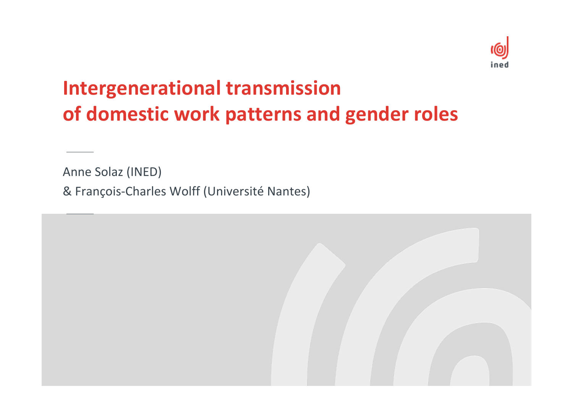

### **Intergenerational transmission of domestic work patterns and gender roles**

Anne Solaz (INED)

& François ‐Charles Wolff (Université Nantes)

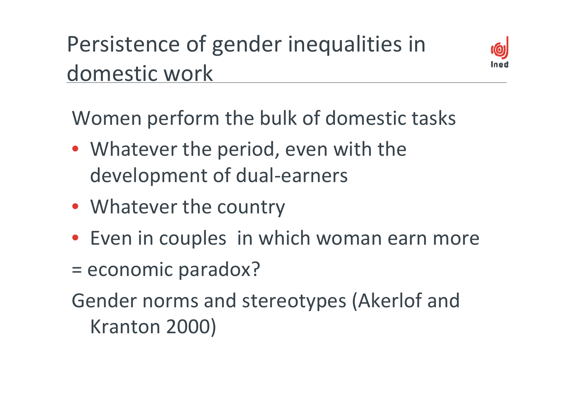# Persistence of gender inequalities in domestic work



Women perform the bulk of domestic tasks

- Whatever the period, even with the development of dual-earners
- Whatever the country
- Even in couples in which woman earn more
- == economic paradox?
- Gender norms and stereotypes (Akerlof and Kranton 2000)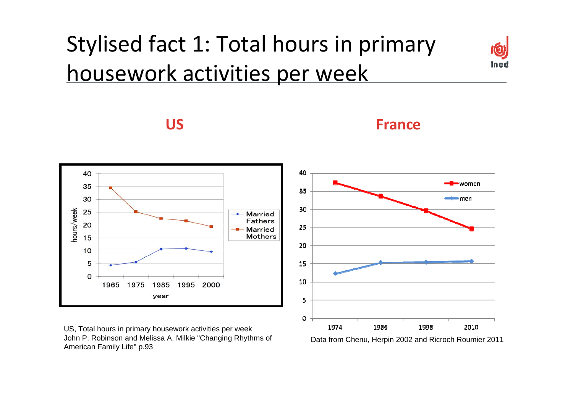# Stylised fact 1: Total hours in primary housework activities per week



**US**





US, Total hours in primary housework activities per week John P. Robinson and Melissa A. Milkie "Changing Rhythms of American Family Life" p.93



Data from Chenu, Herpin 2002 and Ricroch Roumier 2011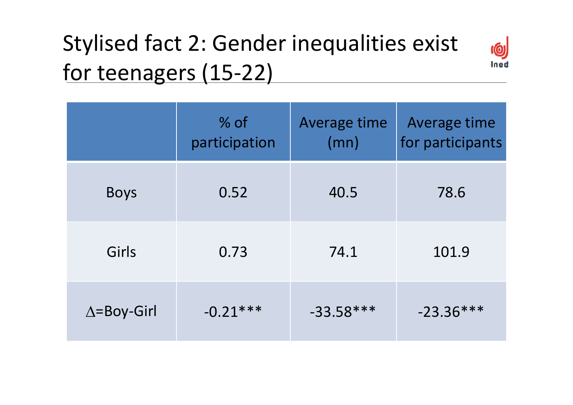# Stylised fact 2: Gender inequalities exist for teenagers (15‐22)



|                     | % of<br>participation | Average time<br>(mn) | Average time<br>for participants |
|---------------------|-----------------------|----------------------|----------------------------------|
| <b>Boys</b>         | 0.52                  | 40.5                 | 78.6                             |
| Girls               | 0.73                  | 74.1                 | 101.9                            |
| $\Delta =$ Boy-Girl | $-0.21***$            | $-33.58***$          | $-23.36***$                      |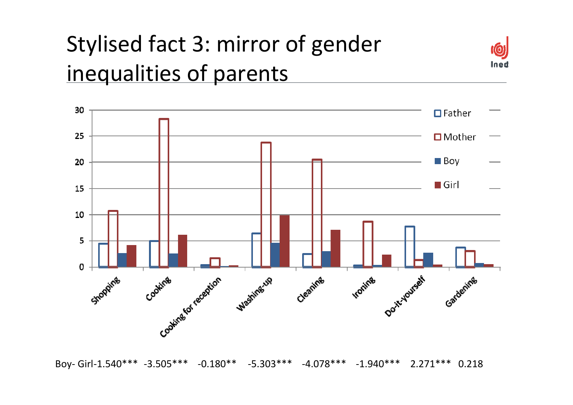# Stylised fact 3: mirror of gender inequalities of parents





Boy‐ Girl‐1.540\*\*\* ‐3.505\*\*\* ‐0.180\*\* ‐5.303\*\*\* ‐4.078\*\*\* ‐1.940\*\*\* 2.271\*\*\* 0.218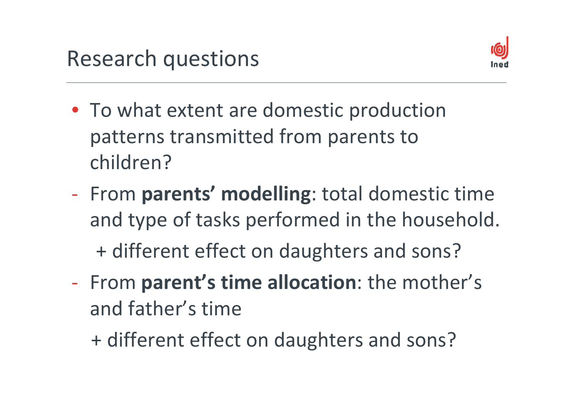

- To what extent are domestic production patterns transmitted from parents to children?
- ‐ From **parents' modelling**: total domestic time and type of tasks performed in the household.

+ different effect on daughters and sons?

‐ From **parent's time allocation**: the mother's and father's time

+ different effect on daughters and sons?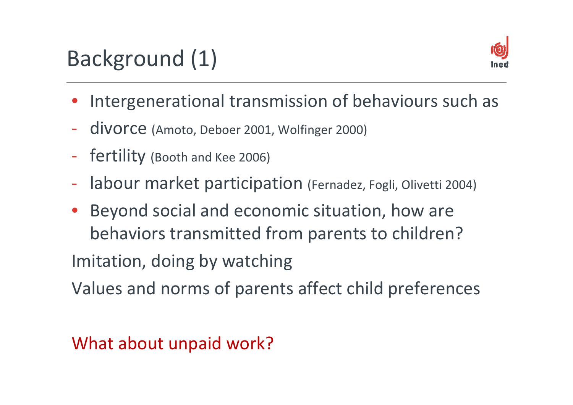# Background (1)



- •Intergenerational transmission of behaviours such as
- $\blacksquare$ - divorce (Amoto, Deboer 2001, Wolfinger 2000)
- ‐fertility (Booth and Kee 2006)
- ‐labour market participation (Fernadez, Fogli, Olivetti 2004)
- • Beyond social and economic situation, how are behaviors transmitted from parents to children?

Imitation, doing by watching

Values and norms of parents affect child preferences

#### What about unpaid work?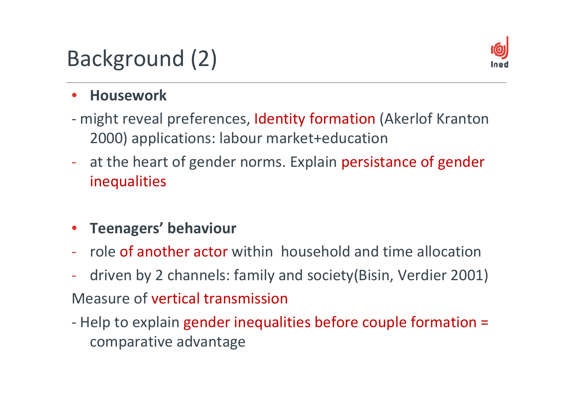# Background (2)



#### •**Housework**

- might reveal preferences, Identity formation (Akerlof Kranton 2000) applications: labour market+education
- ‐- at the heart of gender norms. Explain persistance of gender inequalities
- •**Teenagers' behaviour**
- ‐- role of another actor within household and time allocation
- $\blacksquare$  driven by 2 channels: family and society(Bisin, Verdier 2001) Measure of vertical transmission
- Help to explain gender inequalities before couple formation = comparative advantage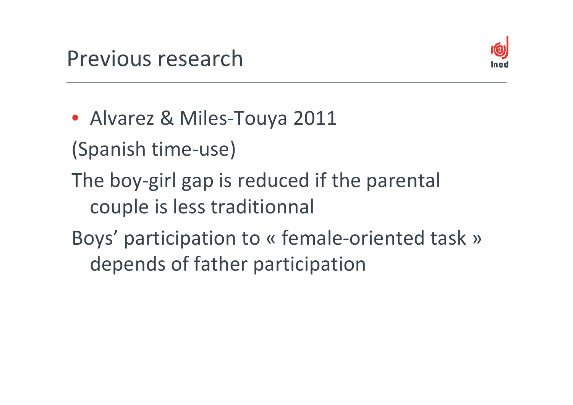

- Alvarez & Miles‐Touya 2011
- (Spanish time‐use)
- The boy‐girl gap is reduced if the parental couple is less traditionnal
- Boys' participation to « female‐oriented task » depends of father participation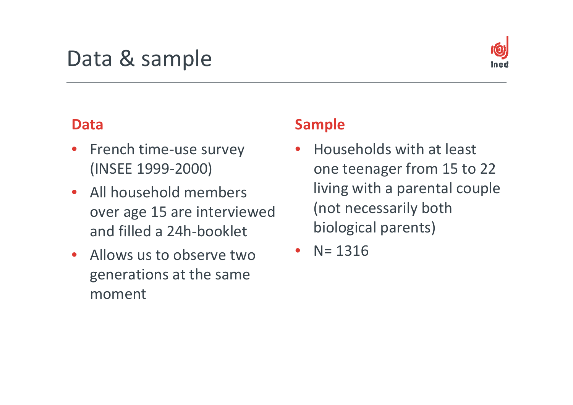# Data & sample



#### **Data**

- •● French time-use survey (INSEE 1999‐2000)
- All household members over age 15 are interviewed and filled <sup>a</sup> 24h‐booklet
- Allows us to observe two generations at the same moment

#### **Sample**

- •• Households with at least one teenager from 15 to 22 living with <sup>a</sup> parental couple (not necessarily both biological parents)
- •• N= 1316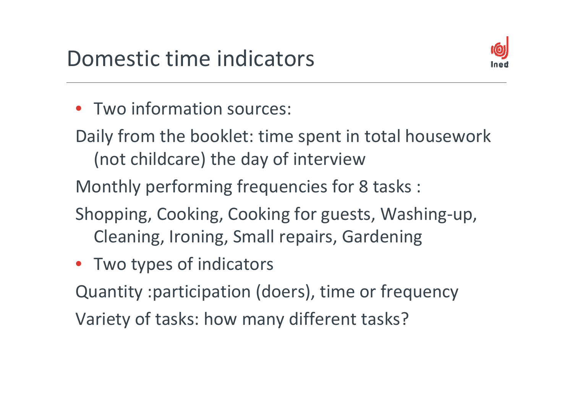

- Two information sources:
- Daily from the booklet: time spent in total housework (not childcare) the day of interview
- Monthly performing frequencies for 8 tasks :
- Shopping, Cooking, Cooking for guests, Washing‐up, Cleaning, Ironing, Small repairs, Gardening
- Two types of indicators

Quantity :participation (doers), time or frequency Variety of tasks: how many different tasks?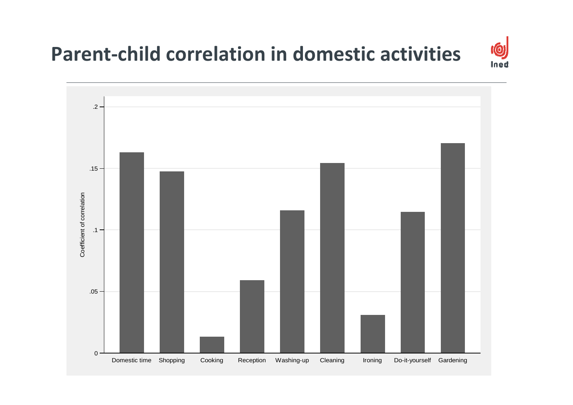#### **Parent‐child correlation in domestic activities**

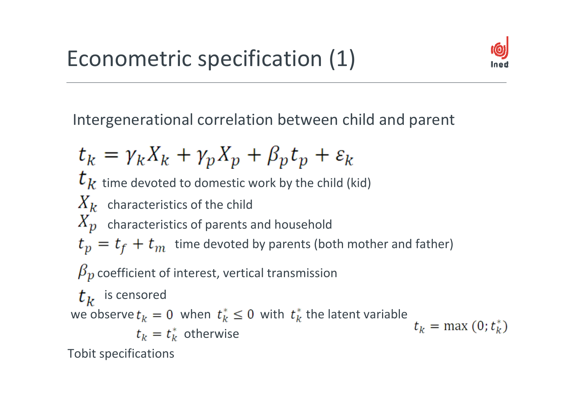

Intergenerational correlation between child and parent

$$
t_k = \gamma_k X_k + \gamma_p X_p + \beta_p t_p + \varepsilon_k
$$
  
\n $t_k$  time devoted to domestic work by the child (kid)  
\n $X_k$  characteristics of the child  
\n $X_p$  characteristics of parents and household  
\n $t_p = t_f + t_m$  time devoted by parents (both mother and father)  
\n $\beta_p$  coefficient of interest, vertical transmission  
\n $t_k$  is censored  
\nwe observe  $t_k = 0$  when  $t_k^* \le 0$  with  $t_k^*$  the latent variable  
\n $t_k = t_k^*$  otherwise  
\nTobit specifications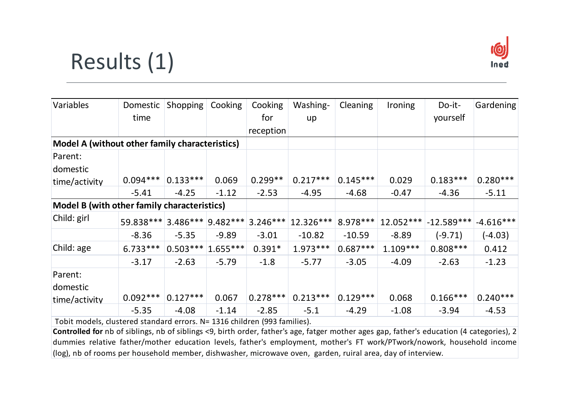## Results (1)



| Variables                                                               | Domestic   | <b>Shopping</b>     | Cooking              | Cooking    | Washing-   | <b>Cleaning</b> | <b>Ironing</b> | Do-it-       | Gardening   |
|-------------------------------------------------------------------------|------------|---------------------|----------------------|------------|------------|-----------------|----------------|--------------|-------------|
|                                                                         | time       |                     |                      | for        | up         |                 |                | yourself     |             |
|                                                                         |            |                     |                      | reception  |            |                 |                |              |             |
| Model A (without other family characteristics)                          |            |                     |                      |            |            |                 |                |              |             |
| Parent:                                                                 |            |                     |                      |            |            |                 |                |              |             |
| domestic                                                                |            |                     |                      |            |            |                 |                |              |             |
| time/activity                                                           | $0.094***$ | $0.133***$          | 0.069                | $0.299**$  | $0.217***$ | $0.145***$      | 0.029          | $0.183***$   | $0.280***$  |
|                                                                         | $-5.41$    | $-4.25$             | $-1.12$              | $-2.53$    | $-4.95$    | $-4.68$         | $-0.47$        | $-4.36$      | $-5.11$     |
| Model B (with other family characteristics)                             |            |                     |                      |            |            |                 |                |              |             |
| Child: girl                                                             | 59.838 *** |                     | $3.486*** 9.482*** $ | $3.246***$ | 12.326***  | 8.978 ***       | 12.052 ***     | $-12.589***$ | $-4.616***$ |
|                                                                         | $-8.36$    | $-5.35$             | $-9.89$              | $-3.01$    | $-10.82$   | $-10.59$        | $-8.89$        | $(-9.71)$    | $(-4.03)$   |
| Child: age                                                              | $6.733***$ | $0.503*** 1.655***$ |                      | $0.391*$   | $1.973***$ | $0.687***$      | $1.109***$     | $0.808***$   | 0.412       |
|                                                                         | $-3.17$    | $-2.63$             | $-5.79$              | $-1.8$     | $-5.77$    | $-3.05$         | $-4.09$        | $-2.63$      | $-1.23$     |
| Parent:                                                                 |            |                     |                      |            |            |                 |                |              |             |
| domestic                                                                |            |                     |                      |            |            |                 |                |              |             |
| time/activity                                                           | $0.092***$ | $0.127***$          | 0.067                | $0.278***$ | $0.213***$ | $0.129***$      | 0.068          | $0.166***$   | $0.240***$  |
|                                                                         | $-5.35$    | $-4.08$             | $-1.14$              | $-2.85$    | $-5.1$     | $-4.29$         | $-1.08$        | $-3.94$      | $-4.53$     |
| Tabit models, slugtered standard errors, N-1916 shildren (009 familias) |            |                     |                      |            |            |                 |                |              |             |

Tobit models, clustered standard errors. N= 1316 children (993 families).

**Controlled for** nb of siblings, nb of siblings <9, birth order, father's age, fatger mother ages gap, father's education (4 categories), 2 dummies relative father/mother education levels, father's employment, mother's FT work/PTwork/nowork, household income (log), nb of rooms per household member, dishwasher, microwave oven, garden, ruiral area, day of interview.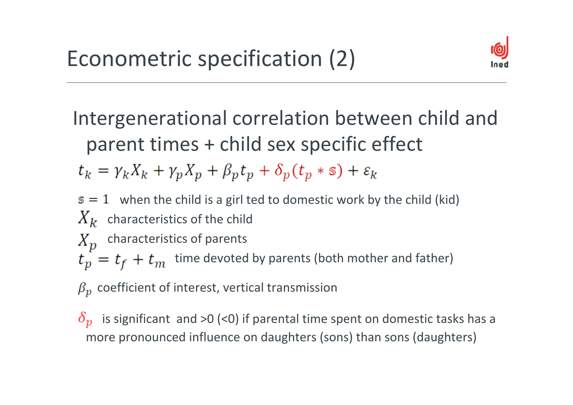

#### Intergenerational correlation between child and parent times + child sex specific effect  $t_k = \gamma_k X_k + \gamma_p X_p + \beta_p t_p + \delta_p (t_p * s) + \varepsilon_k$

- when the child is a girl ted to domestic work by the child (kid)
- characteristics of the child
- characteristics of parents  $X_{\mathcal{D}}$
- time devoted by parents (both mother and father)
- coefficient of interest, vertical transmission

is significant and >0 (<0) if parental time spent on domestic tasks has a more pronounced influence on daughters (sons) than sons (daughters)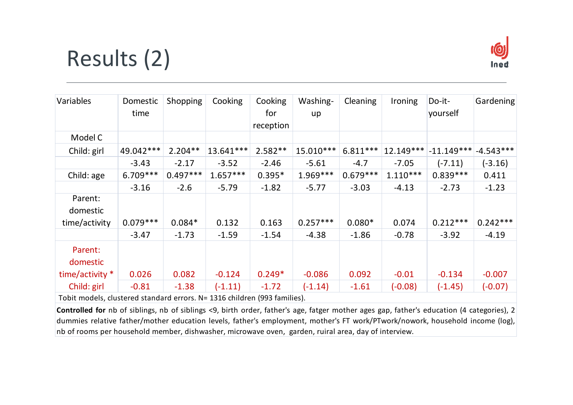# Results (2)



| Variables                                                                 | Domestic<br>time | Shopping   | Cooking    | Cooking<br>for<br>reception | Washing-<br>up | <b>Cleaning</b> | Ironing    | Do-it-<br>yourself | Gardening   |
|---------------------------------------------------------------------------|------------------|------------|------------|-----------------------------|----------------|-----------------|------------|--------------------|-------------|
| Model C                                                                   |                  |            |            |                             |                |                 |            |                    |             |
| Child: girl                                                               | 49.042***        | $2.204**$  | 13.641***  | $2.582**$                   | 15.010***      | $6.811***$      | 12.149***  | $-11.149***$       | $-4.543***$ |
|                                                                           | $-3.43$          | $-2.17$    | $-3.52$    | $-2.46$                     | $-5.61$        | $-4.7$          | $-7.05$    | $(-7.11)$          | $(-3.16)$   |
| Child: age                                                                | $6.709***$       | $0.497***$ | $1.657***$ | $0.395*$                    | $1.969***$     | $0.679***$      | $1.110***$ | $0.839***$         | 0.411       |
|                                                                           | $-3.16$          | $-2.6$     | $-5.79$    | $-1.82$                     | $-5.77$        | $-3.03$         | $-4.13$    | $-2.73$            | $-1.23$     |
| Parent:<br>domestic<br>time/activity                                      | $0.079***$       | $0.084*$   | 0.132      | 0.163                       | $0.257***$     | $0.080*$        | 0.074      | $0.212***$         | $0.242***$  |
|                                                                           | $-3.47$          | $-1.73$    | $-1.59$    | $-1.54$                     | $-4.38$        | $-1.86$         | $-0.78$    | $-3.92$            | $-4.19$     |
| Parent:<br>domestic                                                       |                  |            |            |                             |                |                 |            |                    |             |
| time/activity *                                                           | 0.026            | 0.082      | $-0.124$   | $0.249*$                    | $-0.086$       | 0.092           | $-0.01$    | $-0.134$           | $-0.007$    |
| Child: girl                                                               | $-0.81$          | $-1.38$    | $(-1.11)$  | $-1.72$                     | $(-1.14)$      | $-1.61$         | $(-0.08)$  | $(-1.45)$          | $(-0.07)$   |
| Tobit models, clustered standard errors. N= 1316 children (993 families). |                  |            |            |                             |                |                 |            |                    |             |

**Controlled for** nb of siblings, nb of siblings <9, birth order, father's age, fatger mother ages gap, father's education (4 categories), 2 dummies relative father/mother education levels, father's employment, mother's FT work/PTwork/nowork, household income (log), nb of rooms per household member, dishwasher, microwave oven, garden, ruiral area, day of interview.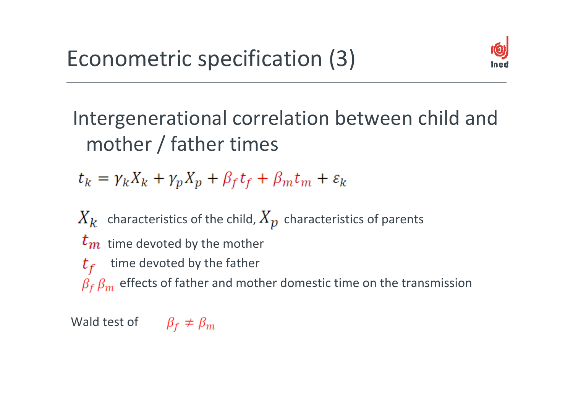

### Intergenerational correlation between child and mother / father times

 $t_k = \gamma_k X_k + \gamma_p X_p + \beta_f t_f + \beta_m t_m + \varepsilon_k$ 

characteristics of the child,  $\bm{X}_{\bm{D}}$  characteristics of parents time devoted by the mother

time devoted by the father  $t_f$ 

effects of father and mother domestic time on the transmission

Wald test of  $\beta_f \neq \beta_m$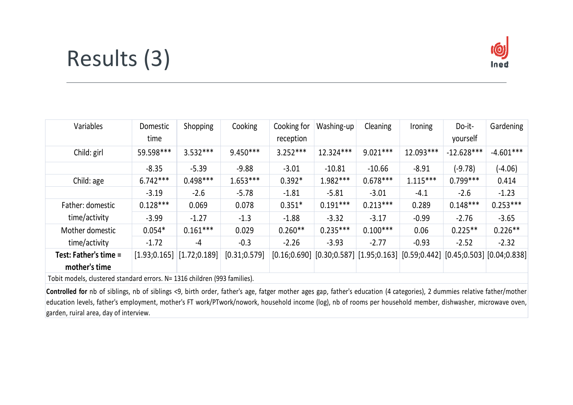# Results (3)



| Variables                              | Domestic<br>time | <b>Shopping</b> | Cooking       | Cooking for<br>reception | Washing-up | Cleaning                                                                                        | Ironing    | Do-it-<br>yourself | Gardening   |
|----------------------------------------|------------------|-----------------|---------------|--------------------------|------------|-------------------------------------------------------------------------------------------------|------------|--------------------|-------------|
| Child: girl                            | 59.598***        | $3.532***$      | $9.450***$    | $3.252***$               | 12.324***  | $9.021***$                                                                                      | 12.093***  | $-12.628***$       | $-4.601***$ |
|                                        | $-8.35$          | $-5.39$         | $-9.88$       | $-3.01$                  | $-10.81$   | $-10.66$                                                                                        | $-8.91$    | (-9.78)            | $(-4.06)$   |
| Child: age                             | $6.742***$       | $0.498***$      | $1.653***$    | $0.392*$                 | $1.982***$ | $0.678***$                                                                                      | $1.115***$ | $0.799***$         | 0.414       |
|                                        | $-3.19$          | $-2.6$          | $-5.78$       | $-1.81$                  | $-5.81$    | $-3.01$                                                                                         | -4.1       | $-2.6$             | $-1.23$     |
| Father: domestic                       | $0.128***$       | 0.069           | 0.078         | $0.351*$                 | $0.191***$ | $0.213***$                                                                                      | 0.289      | $0.148***$         | $0.253***$  |
| time/activity                          | $-3.99$          | $-1.27$         | $-1.3$        | $-1.88$                  | $-3.32$    | $-3.17$                                                                                         | $-0.99$    | $-2.76$            | $-3.65$     |
| Mother domestic                        | $0.054*$         | $0.161***$      | 0.029         | $0.260**$                | $0.235***$ | $0.100***$                                                                                      | 0.06       | $0.225**$          | $0.226**$   |
| time/activity                          | $-1.72$          | -4              | $-0.3$        | $-2.26$                  | $-3.93$    | $-2.77$                                                                                         | $-0.93$    | $-2.52$            | $-2.32$     |
| Test: Father's time =<br>mother's time | [1.93; 0.165]    | [1.72; 0.189]   | [0.31; 0.579] |                          |            | $[0.16; 0.690]$ $[0.30; 0.587]$ $[1.95; 0.163]$ $[0.59; 0.442]$ $[0.45; 0.503]$ $[0.04; 0.838]$ |            |                    |             |
|                                        |                  |                 |               |                          |            |                                                                                                 |            |                    |             |

Tobit models, clustered standard errors. N= 1316 children (993 families).

Controlled for nb of siblings, nb of siblings <9, birth order, father's age, fatger mother ages gap, father's education (4 categories), 2 dummies relative father/mother education levels, father's employment, mother's FT work/PTwork/nowork, household income (log), nb of rooms per household member, dishwasher, microwave oven, garden, ruiral area, day of interview.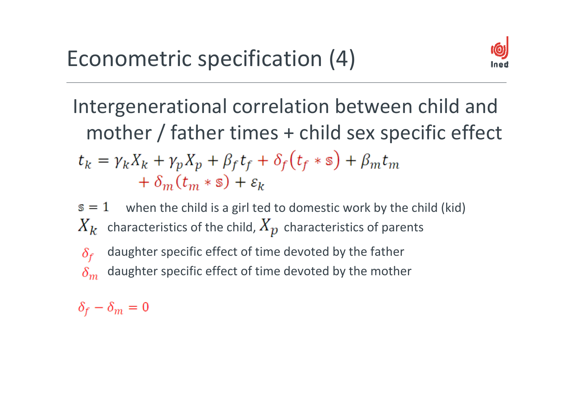

### Intergenerational correlation between child and mother / father times + child sex specific effect  $t_k = \gamma_k X_k + \gamma_p X_p + \beta_f t_f + \delta_f (t_f * s) + \beta_m t_m$  $+\delta_m(t_m * s) + \varepsilon_k$

 $s=1$ when the child is a girl ted to domestic work by the child (kid) characteristics of the child,  $\bm A_{\bm D}^{\phantom{\dag}}$  characteristics of parents

daughter specific effect of time devoted by the father  $\delta_{\rm f}$ daughter specific effect of time devoted by the mother  $\delta_m$ 

 $\delta_f - \delta_m = 0$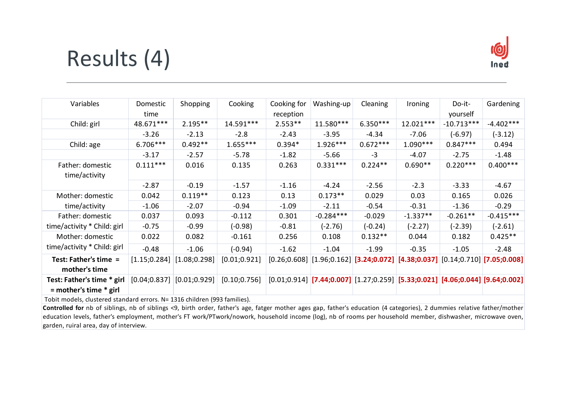## Results (4)



| Variables                                                | Domestic<br>time | Shopping      | Cooking       | Cooking for<br>reception | Washing-up  | Cleaning   | Ironing                                                                                | Do-it-<br>yourself | Gardening   |
|----------------------------------------------------------|------------------|---------------|---------------|--------------------------|-------------|------------|----------------------------------------------------------------------------------------|--------------------|-------------|
| Child: girl                                              | 48.671***        | $2.195**$     | 14.591***     | $2.553**$                | 11.580***   | $6.350***$ | 12.021***                                                                              | $-10.713***$       | $-4.402***$ |
|                                                          | $-3.26$          | $-2.13$       | $-2.8$        | $-2.43$                  | $-3.95$     | $-4.34$    | $-7.06$                                                                                | $(-6.97)$          | $(-3.12)$   |
| Child: age                                               | $6.706***$       | $0.492**$     | $1.655***$    | $0.394*$                 | $1.926***$  | $0.672***$ | $1.090***$                                                                             | $0.847***$         | 0.494       |
|                                                          | $-3.17$          | $-2.57$       | $-5.78$       | $-1.82$                  | $-5.66$     | $-3$       | $-4.07$                                                                                | $-2.75$            | $-1.48$     |
| Father: domestic<br>time/activity                        | $0.111***$       | 0.016         | 0.135         | 0.263                    | $0.331***$  | $0.224**$  | $0.690**$                                                                              | $0.220***$         | $0.400***$  |
|                                                          | $-2.87$          | $-0.19$       | $-1.57$       | $-1.16$                  | $-4.24$     | $-2.56$    | $-2.3$                                                                                 | $-3.33$            | $-4.67$     |
| Mother: domestic                                         | 0.042            | $0.119**$     | 0.123         | 0.13                     | $0.173**$   | 0.029      | 0.03                                                                                   | 0.165              | 0.026       |
| time/activity                                            | $-1.06$          | $-2.07$       | $-0.94$       | $-1.09$                  | $-2.11$     | $-0.54$    | $-0.31$                                                                                | $-1.36$            | $-0.29$     |
| Father: domestic                                         | 0.037            | 0.093         | $-0.112$      | 0.301                    | $-0.284***$ | $-0.029$   | $-1.337**$                                                                             | $-0.261**$         | $-0.415***$ |
| time/activity * Child: girl                              | $-0.75$          | $-0.99$       | $(-0.98)$     | $-0.81$                  | $(-2.76)$   | $(-0.24)$  | $(-2.27)$                                                                              | $(-2.39)$          | $(-2.61)$   |
| Mother: domestic                                         | 0.022            | 0.082         | $-0.161$      | 0.256                    | 0.108       | $0.132**$  | 0.044                                                                                  | 0.182              | $0.425**$   |
| time/activity * Child: girl                              | $-0.48$          | $-1.06$       | $(-0.94)$     | $-1.62$                  | $-1.04$     | $-1.99$    | $-0.35$                                                                                | $-1.05$            | $-2.48$     |
| Test: Father's time =<br>mother's time                   | [1.15; 0.284]    | [1.08; 0.298] | [0.01; 0.921] |                          |             |            | $[0.26; 0.608]$ $[1.96; 0.162]$ [3.24;0.072] [4.38;0.037] $[0.14; 0.710]$ [7.05;0.008] |                    |             |
| Test: Father's time * girl<br>$=$ mother's time $*$ girl | [0.04; 0.837]    | [0.01; 0.929] | [0.10; 0.756] |                          |             |            | $[0.01; 0.914]$ [7.44;0.007] $[1.27; 0.259]$ [5.33;0.021] [4.06;0.044] [9.64;0.002]    |                    |             |

Tobit models, clustered standard errors. N= 1316 children (993 families).

**Controlled for** nb of siblings, nb of siblings <9, birth order, father's age, fatger mother ages gap, father's education (4 categories), 2 dummies relative father/mother education levels, father's employment, mother's FT work/PTwork/nowork, household income (log), nb of rooms per household member, dishwasher, microwave oven, garden, ruiral area, day of interview.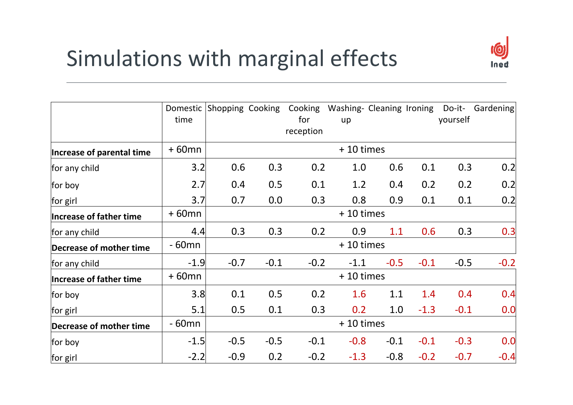# Simulations with marginal effects



|                           | Domestic<br>time | Shopping Cooking |        | for       | Cooking Washing- Cleaning Ironing<br>up |        |        | yourself | Do-it- Gardening |
|---------------------------|------------------|------------------|--------|-----------|-----------------------------------------|--------|--------|----------|------------------|
|                           |                  |                  |        | reception |                                         |        |        |          |                  |
| Increase of parental time | $+60$ mn         |                  |        |           | +10 times                               |        |        |          |                  |
| for any child             | 3.2              | 0.6              | 0.3    | 0.2       | 1.0                                     | 0.6    | 0.1    | 0.3      | 0.2              |
| for boy                   | 2.7              | 0.4              | 0.5    | 0.1       | 1.2                                     | 0.4    | 0.2    | 0.2      | 0.2              |
| for girl                  | 3.7              | 0.7              | 0.0    | 0.3       | 0.8                                     | 0.9    | 0.1    | 0.1      | 0.2              |
| Increase of father time   | $+60$ mn         | + 10 times       |        |           |                                         |        |        |          |                  |
| for any child             | 4.4              | 0.3              | 0.3    | 0.2       | 0.9                                     | 1.1    | 0.6    | 0.3      | 0.3              |
| Decrease of mother time   | - 60mn           |                  |        |           | +10 times                               |        |        |          |                  |
| for any child             | $-1.9$           | $-0.7$           | $-0.1$ | $-0.2$    | $-1.1$                                  | $-0.5$ | $-0.1$ | $-0.5$   | $-0.2$           |
| Increase of father time   | $+60$ mn         |                  |        |           | +10 times                               |        |        |          |                  |
| for boy                   | 3.8              | 0.1              | 0.5    | 0.2       | 1.6                                     | 1.1    | 1.4    | 0.4      | 0.4              |
| for girl                  | 5.1              | 0.5              | 0.1    | 0.3       | 0.2                                     | 1.0    | $-1.3$ | $-0.1$   | 0.0              |
| Decrease of mother time   | $-60$ mn         | +10 times        |        |           |                                         |        |        |          |                  |
| for boy                   | $-1.5$           | $-0.5$           | $-0.5$ | $-0.1$    | $-0.8$                                  | $-0.1$ | $-0.1$ | $-0.3$   | 0.0              |
| for girl                  | $-2.2$           | $-0.9$           | 0.2    | $-0.2$    | $-1.3$                                  | $-0.8$ | $-0.2$ | $-0.7$   | $-0.4$           |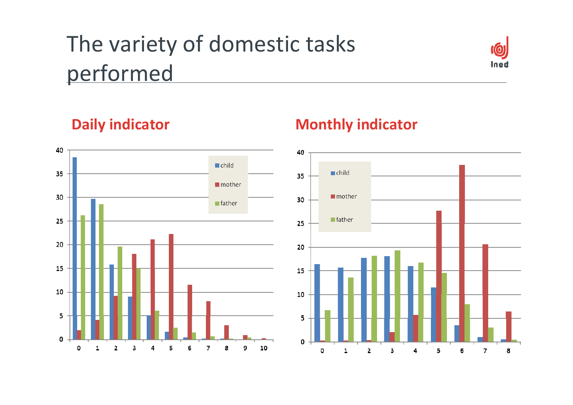# The variety of domestic tasks performed





#### **Daily indicator Monthly indicator**

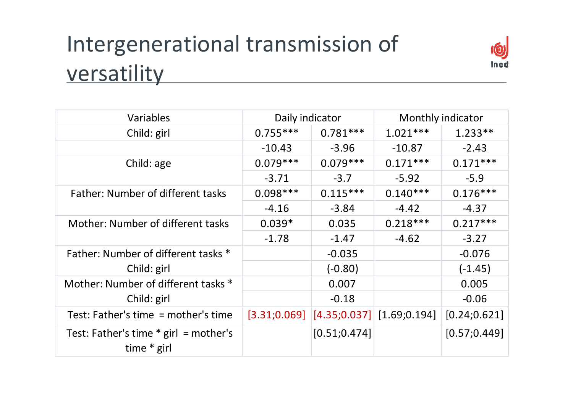# Intergenerational transmission of versatility



| Variables                                                | Daily indicator |               | Monthly indicator                            |               |  |
|----------------------------------------------------------|-----------------|---------------|----------------------------------------------|---------------|--|
| Child: girl                                              | $0.755***$      | $0.781***$    | $1.021***$                                   | $1.233**$     |  |
|                                                          | $-10.43$        | $-3.96$       | $-10.87$                                     | $-2.43$       |  |
| Child: age                                               | $0.079***$      | $0.079***$    | $0.171***$                                   | $0.171***$    |  |
|                                                          | $-3.71$         | $-3.7$        | $-5.92$                                      | $-5.9$        |  |
| Father: Number of different tasks                        | $0.098***$      | $0.115***$    | $0.140***$                                   | $0.176***$    |  |
|                                                          | $-4.16$         | $-3.84$       | $-4.42$                                      | $-4.37$       |  |
| Mother: Number of different tasks                        | $0.039*$        | 0.035         | $0.218***$                                   | $0.217***$    |  |
|                                                          | $-1.78$         | $-1.47$       | $-4.62$                                      | $-3.27$       |  |
| Father: Number of different tasks *                      |                 | $-0.035$      |                                              | $-0.076$      |  |
| Child: girl                                              |                 | $(-0.80)$     |                                              | $(-1.45)$     |  |
| Mother: Number of different tasks *                      |                 | 0.007         |                                              | 0.005         |  |
| Child: girl                                              |                 | $-0.18$       |                                              | $-0.06$       |  |
| Test: Father's time $=$ mother's time                    |                 |               | $[3.31;0.069]$ $[4.35;0.037]$ $[1.69;0.194]$ | [0.24; 0.621] |  |
| Test: Father's time $*$ girl = mother's<br>time $*$ girl |                 | [0.51; 0.474] |                                              | [0.57; 0.449] |  |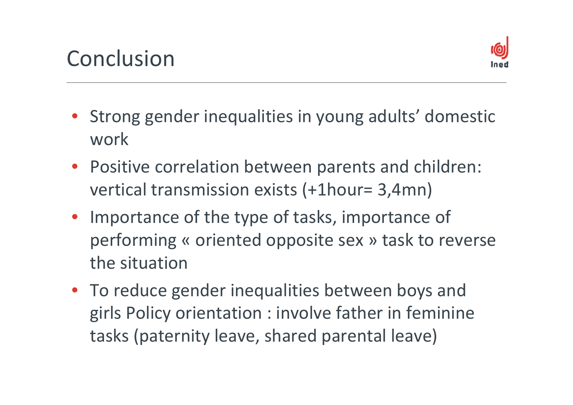

- Strong gender inequalities in young adults' domestic work
- Positive correlation between parents and children: vertical transmission exists (+1hour= 3,4mn)
- Importance of the type of tasks, importance of performing « oriented opposite sex » task to reverse the situation
- To reduce gender inequalities between boys and girls Policy orientation : involve father in feminine tasks (paternity leave, shared parental leave)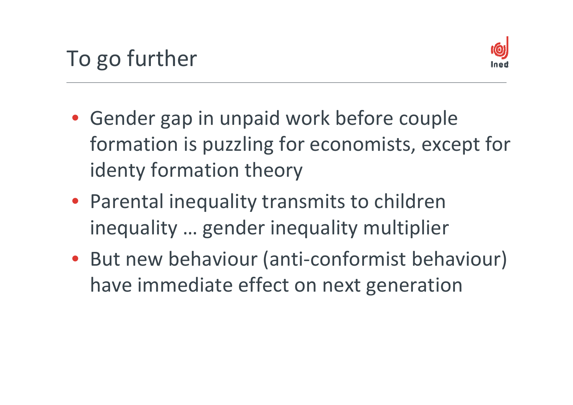

- Gender gap in unpaid work before couple formation is puzzling for economists, except for identy formation theory
- Parental inequality transmits to children inequality … gender inequality multiplier
- But new behaviour (anti‐conformist behaviour) have immediate effect on next generation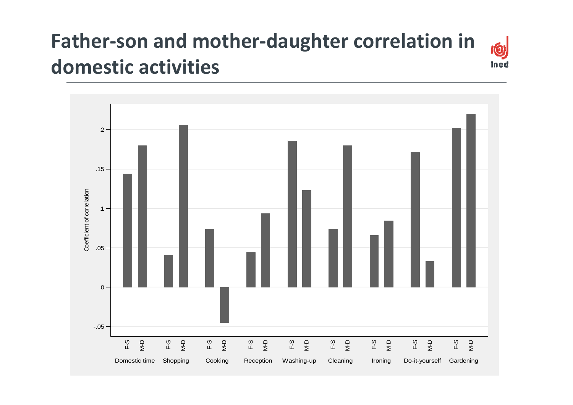#### **Father‐son and mother‐daughter correlation in domestic activities**

10

ined